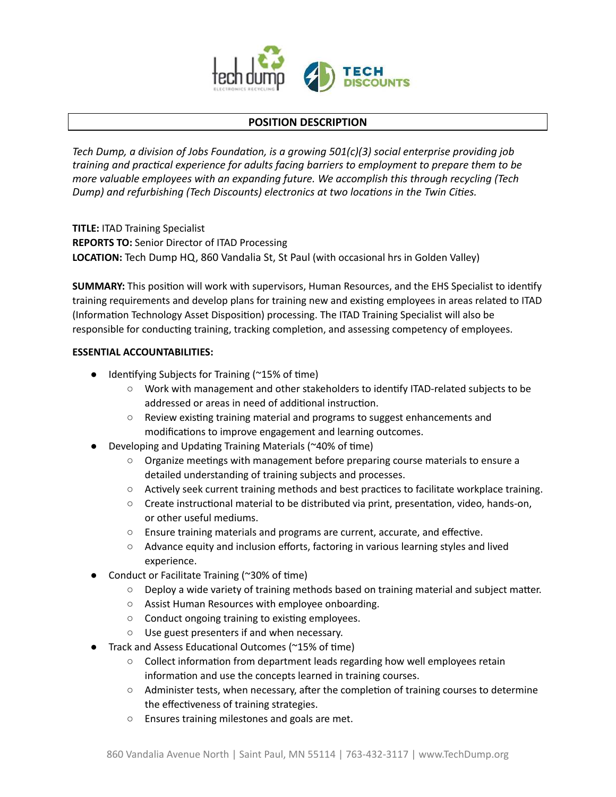

# **POSITION DESCRIPTION**

*Tech Dump, a division of Jobs Foundation, is a growing 501(c)(3) social enterprise providing job training and practical experience for adults facing barriers to employment to prepare them to be more valuable employees with an expanding future. We accomplish this through recycling (Tech Dump) and refurbishing (Tech Discounts) electronics at two locations in the Twin Cities.* 

 **TITLE:** ITAD Training Specialist  **REPORTS TO:** Senior Director of ITAD Processing  **LOCATION:** Tech Dump HQ, 860 Vandalia St, St Paul (with occasional hrs in Golden Valley)

**SUMMARY:** This position will work with supervisors, Human Resources, and the EHS Specialist to identify training requirements and develop plans for training new and existing employees in areas related to ITAD (Information Technology Asset Disposition) processing. The ITAD Training Specialist will also be responsible for conducting training, tracking completion, and assessing competency of employees.

## **ESSENTIAL ACCOUNTABILITIES:**

- $\bullet$  Identifying Subjects for Training (~15% of time)
	- Work with management and other stakeholders to identify ITAD-related subjects to be addressed or areas in need of additional instruction.
	- $\circ$  Review existing training material and programs to suggest enhancements and modifications to improve engagement and learning outcomes.
- Developing and Updating Training Materials ( $\approx$ 40% of time)
	- Organize meetings with management before preparing course materials to ensure a detailed understanding of training subjects and processes.
	- $\circ$  Actively seek current training methods and best practices to facilitate workplace training.
	- $\circ$  Create instructional material to be distributed via print, presentation, video, hands-on, or other useful mediums.
	- $\circ$  Ensure training materials and programs are current, accurate, and effective.
	- Advance equity and inclusion efforts, factoring in various learning styles and lived experience.
- Conduct or Facilitate Training ( $\approx$ 30% of time)
	- $\circ$  Deploy a wide variety of training methods based on training material and subject matter.
	- Assist Human Resources with employee onboarding.
	- $\circ$  Conduct ongoing training to existing employees.
	- Use guest presenters if and when necessary.
- Track and Assess Educational Outcomes ( $\approx$ 15% of time)
	- $\circ$  Collect information from department leads regarding how well employees retain information and use the concepts learned in training courses.
	- $\circ$  Administer tests, when necessary, after the completion of training courses to determine the effectiveness of training strategies.
	- Ensures training milestones and goals are met.